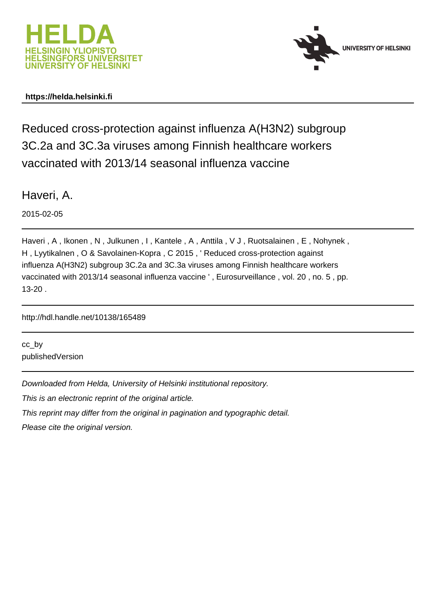



# **https://helda.helsinki.fi**

Reduced cross-protection against influenza A(H3N2) subgroup 3C.2a and 3C.3a viruses among Finnish healthcare workers vaccinated with 2013/14 seasonal influenza vaccine

Haveri, A.

2015-02-05

Haveri , A , Ikonen , N , Julkunen , I , Kantele , A , Anttila , V J , Ruotsalainen , E , Nohynek , H , Lyytikalnen , O & Savolainen-Kopra , C 2015 , ' Reduced cross-protection against influenza A(H3N2) subgroup 3C.2a and 3C.3a viruses among Finnish healthcare workers vaccinated with 2013/14 seasonal influenza vaccine ' , Eurosurveillance , vol. 20 , no. 5 , pp. 13-20 .

http://hdl.handle.net/10138/165489

cc\_by publishedVersion

Downloaded from Helda, University of Helsinki institutional repository.

This is an electronic reprint of the original article.

This reprint may differ from the original in pagination and typographic detail.

Please cite the original version.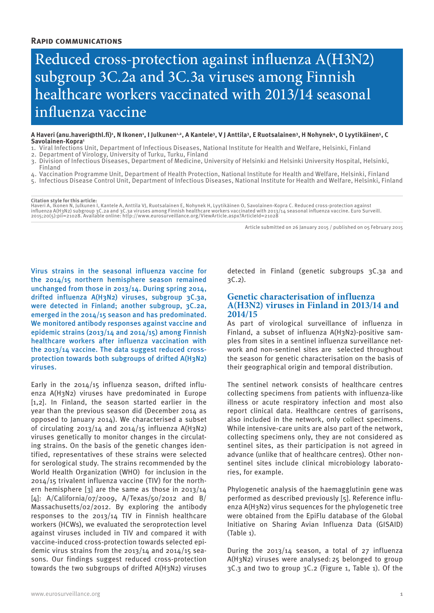# Reduced cross-protection against influenza A(H3N2) subgroup 3C.2a and 3C.3a viruses among Finnish healthcare workers vaccinated with 2013/14 seasonal influenza vaccine

A Haveri (anu.haveri@thl.fi)', N Ikonen', I Julkunen'<sup>.2</sup>, A Kantele<sup>3</sup>, V J Anttila<sup>3</sup>, E Ruotsalainen<sup>s</sup>, H Nohynek<sup>4</sup>, O Lyytikäinen<sup>s</sup>, C **Savolainen-Kopra1**

- 1. Viral Infections Unit, Department of Infectious Diseases, National Institute for Health and Welfare, Helsinki, Finland
- 2. Department of Virology, University of Turku, Turku, Finland
- 3. Division of Infectious Diseases, Department of Medicine, University of Helsinki and Helsinki University Hospital, Helsinki, Finland
- 4. Vaccination Programme Unit, Department of Health Protection, National Institute for Health and Welfare, Helsinki, Finland 5. Infectious Disease Control Unit, Department of Infectious Diseases, National Institute for Health and Welfare, Helsinki, Finland

**Citation style for this article:**

Haveri A, Ikonen N, Julkunen I, Kantele A, Anttila VJ, Ruotsalainen E, Nohynek H, Lyytikäinen O, Savolainen-Kopra C. Reduced cross-protection against influenza A(H3N2) subgroup 3C.2a and 3C.3a viruses among Finnish healthcare workers vaccinated with 2013/14 seasonal influenza vaccine. Euro Surveill.<br>2015;20(5):pii=21028. Available online: http://www.eurosurveillance.org

Article submitted on 26 January 2015 / published on 05 February 2015

Virus strains in the seasonal influenza vaccine for the 2014/15 northern hemisphere season remained unchanged from those in 2013/14. During spring 2014, drifted influenza A(H3N2) viruses, subgroup 3C.3a, were detected in Finland; another subgroup, 3C.2a, emerged in the 2014/15 season and has predominated. We monitored antibody responses against vaccine and epidemic strains (2013/14 and 2014/15) among Finnish healthcare workers after influenza vaccination with the 2013/14 vaccine. The data suggest reduced crossprotection towards both subgroups of drifted A(H3N2) viruses.

Early in the 2014/15 influenza season, drifted influenza A(H3N2) viruses have predominated in Europe [1,2]. In Finland, the season started earlier in the year than the previous season did (December 2014 as opposed to January 2014). We characterised a subset of circulating  $2013/14$  and  $2014/15$  influenza A(H3N2) viruses genetically to monitor changes in the circulating strains. On the basis of the genetic changes identified, representatives of these strains were selected for serological study. The strains recommended by the World Health Organization (WHO) for inclusion in the 2014/15 trivalent influenza vaccine (TIV) for the northern hemisphere [3] are the same as those in 2013/14 [4]: A/California/07/2009, A/Texas/50/2012 and B/ Massachusetts/02/2012. By exploring the antibody responses to the 2013/14 TIV in Finnish healthcare workers (HCWs), we evaluated the seroprotection level against viruses included in TIV and compared it with vaccine-induced cross-protection towards selected epidemic virus strains from the 2013/14 and 2014/15 seasons. Our findings suggest reduced cross-protection towards the two subgroups of drifted A(H3N2) viruses

detected in Finland (genetic subgroups 3C.3a and 3C.2).

## **Genetic characterisation of influenza A(H3N2) viruses in Finland in 2013/14 and 2014/15**

As part of virological surveillance of influenza in Finland, a subset of influenza A(H3N2)-positive samples from sites in a sentinel influenza surveillance network and non-sentinel sites are selected throughout the season for genetic characterisation on the basis of their geographical origin and temporal distribution.

The sentinel network consists of healthcare centres collecting specimens from patients with influenza-like illness or acute respiratory infection and most also report clinical data. Healthcare centres of garrisons, also included in the network, only collect specimens. While intensive-care units are also part of the network, collecting specimens only, they are not considered as sentinel sites, as their participation is not agreed in advance (unlike that of healthcare centres). Other nonsentinel sites include clinical microbiology laboratories, for example.

Phylogenetic analysis of the haemagglutinin gene was performed as described previously [5]. Reference influenza A(H3N2) virus sequences for the phylogenetic tree were obtained from the EpiFlu database of the Global Initiative on Sharing Avian Influenza Data (GISAID) (Table 1).

During the 2013/14 season, a total of 27 influenza A(H3N2) viruses were analysed:25 belonged to group 3C.3 and two to group 3C.2 (Figure 1, Table 1). Of the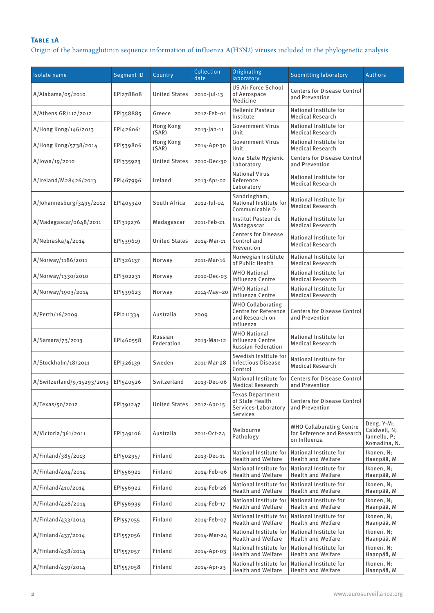# **Table 1A**

Origin of the haemagglutinin sequence information of influenza A(H3N2) viruses included in the phylogenetic analysis

| Isolate name               | <b>Segment ID</b> | Country               | Collection<br>date | Originating<br>laboratory                                                        | Submitting laboratory                                                         | <b>Authors</b>                                             |
|----------------------------|-------------------|-----------------------|--------------------|----------------------------------------------------------------------------------|-------------------------------------------------------------------------------|------------------------------------------------------------|
| A/Alabama/05/2010          | EPI278808         | <b>United States</b>  | $2010 -  $ ul-13   | <b>US Air Force School</b><br>of Aerospace<br>Medicine                           | <b>Centers for Disease Control</b><br>and Prevention                          |                                                            |
| A/Athens GR/112/2012       | EPI358885         | Greece                | 2012-Feb-01        | <b>Hellenic Pasteur</b><br>Institute                                             | National Institute for<br><b>Medical Research</b>                             |                                                            |
| A/Hong Kong/146/2013       | EPI426061         | Hong Kong<br>(SAR)    | 2013-Jan-11        | <b>Government Virus</b><br>Unit                                                  | National Institute for<br><b>Medical Research</b>                             |                                                            |
| A/Hong Kong/5738/2014      | EPI539806         | Hong Kong<br>(SAR)    | 2014-Apr-30        | <b>Government Virus</b><br>Unit                                                  | National Institute for<br><b>Medical Research</b>                             |                                                            |
| A/lowa/19/2010             | EPI335923         | <b>United States</b>  | 2010-Dec-30        | Iowa State Hygienic<br>Laboratory                                                | <b>Centers for Disease Control</b><br>and Prevention                          |                                                            |
| A/Ireland/M28426/2013      | EPI467996         | Ireland               | 2013-Apr-02        | <b>National Virus</b><br>Reference<br>Laboratory                                 | National Institute for<br><b>Medical Research</b>                             |                                                            |
| A/Johannesburg/3495/2012   | EPI405940         | South Africa          | 2012-Jul-04        | Sandringham,<br>National Institute for<br>Communicable D                         | National Institute for<br><b>Medical Research</b>                             |                                                            |
| A/Madagascar/0648/2011     | EPI319276         | Madagascar            | 2011-Feb-21        | Institut Pasteur de<br>Madagascar                                                | National Institute for<br><b>Medical Research</b>                             |                                                            |
| A/Nebraska/4/2014          | EPI539619         | <b>United States</b>  | 2014-Mar-11        | <b>Centers for Disease</b><br>Control and<br>Prevention                          | National Institute for<br><b>Medical Research</b>                             |                                                            |
| A/Norway/1186/2011         | EPI326137         | Norway                | 2011-Mar-16        | Norwegian Institute<br>of Public Health                                          | National Institute for<br><b>Medical Research</b>                             |                                                            |
| A/Norway/1330/2010         | EPI302231         | Norway                | 2010-Dec-03        | <b>WHO National</b><br>Influenza Centre                                          | National Institute for<br><b>Medical Research</b>                             |                                                            |
| A/Norway/1903/2014         | EPI539623         | Norway                | 2014-May-20        | <b>WHO National</b><br>Influenza Centre                                          | National Institute for<br><b>Medical Research</b>                             |                                                            |
| A/Perth/16/2009            | EPI211334         | Australia             | 2009               | <b>WHO Collaborating</b><br>Centre for Reference<br>and Research on<br>Influenza | <b>Centers for Disease Control</b><br>and Prevention                          |                                                            |
| A/Samara/73/2013           | EPI460558         | Russian<br>Federation | 2013-Mar-12        | <b>WHO National</b><br>Influenza Centre<br><b>Russian Federation</b>             | National Institute for<br><b>Medical Research</b>                             |                                                            |
| A/Stockholm/18/2011        | EPI326139         | Sweden                | 2011-Mar-28        | Swedish Institute for<br><b>Infectious Disease</b><br>Control                    | National Institute for<br><b>Medical Research</b>                             |                                                            |
| A/Switzerland/9715293/2013 | EPI540526         | Switzerland           | 2013-Dec-06        | National Institute for<br><b>Medical Research</b>                                | <b>Centers for Disease Control</b><br>and Prevention                          |                                                            |
| A/Texas/50/2012            | EPI391247         | <b>United States</b>  | 2012-Apr-15        | <b>Texas Department</b><br>of State Health<br>Services-Laboratory<br>Services    | <b>Centers for Disease Control</b><br>and Prevention                          |                                                            |
| A/Victoria/361/2011        | EPI349106         | Australia             | 2011-Oct-24        | Melbourne<br>Pathology                                                           | <b>WHO Collaborating Centre</b><br>for Reference and Research<br>on Influenza | Deng, Y-M;<br>Caldwell, N;<br>lannello, P;<br>Komadina, N. |
| A/Finland/385/2013         | EPI502957         | Finland               | 2013-Dec-11        | National Institute for<br><b>Health and Welfare</b>                              | National Institute for<br><b>Health and Welfare</b>                           | Ikonen, N;<br>Haanpää, M                                   |
| A/Finland/404/2014         | EPI556921         | Finland               | 2014-Feb-06        | National Institute for<br><b>Health and Welfare</b>                              | National Institute for<br><b>Health and Welfare</b>                           | Ikonen, N;<br>Haanpää, M                                   |
| A/Finland/410/2014         | EPI556922         | Finland               | 2014-Feb-26        | National Institute for<br><b>Health and Welfare</b>                              | National Institute for<br><b>Health and Welfare</b>                           | Ikonen, N;<br>Haanpää, M                                   |
| A/Finland/428/2014         | EPI556939         | Finland               | 2014-Feb-17        | National Institute for<br><b>Health and Welfare</b>                              | National Institute for<br><b>Health and Welfare</b>                           | Ikonen, N;<br>Haanpää, M                                   |
| A/Finland/433/2014         | EPI557055         | Finland               | 2014-Feb-07        | National Institute for<br><b>Health and Welfare</b>                              | National Institute for<br><b>Health and Welfare</b>                           | Ikonen, N;<br>Haanpää, M                                   |
| A/Finland/437/2014         | EPI557056         | Finland               | 2014-Mar-24        | National Institute for<br><b>Health and Welfare</b>                              | National Institute for<br><b>Health and Welfare</b>                           | Ikonen, N;<br>Haanpää, M                                   |
| A/Finland/438/2014         | EP1557057         | Finland               | 2014-Apr-03        | National Institute for<br><b>Health and Welfare</b>                              | National Institute for<br><b>Health and Welfare</b>                           | Ikonen, N;<br>Haanpää, M                                   |
| A/Finland/439/2014         | EPI557058         | Finland               | 2014-Apr-23        | National Institute for<br><b>Health and Welfare</b>                              | National Institute for<br><b>Health and Welfare</b>                           | Ikonen, N;<br>Haanpää, M                                   |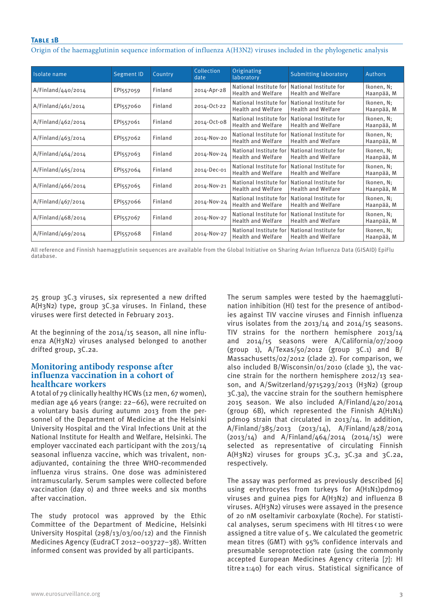## **Table 1B**

Origin of the haemagglutinin sequence information of influenza A(H3N2) viruses included in the phylogenetic analysis

| Isolate name       | <b>Segment ID</b> | Country | Collection<br>date | Originating<br>laboratory                           | Submitting laboratory                               | <b>Authors</b>           |
|--------------------|-------------------|---------|--------------------|-----------------------------------------------------|-----------------------------------------------------|--------------------------|
| A/Finland/440/2014 | EP1557059         | Finland | 2014-Apr-28        | National Institute for<br><b>Health and Welfare</b> | National Institute for<br><b>Health and Welfare</b> | Ikonen, N;<br>Haanpää, M |
| A/Finland/461/2014 | EP1557060         | Finland | 2014-Oct-22        | National Institute for<br><b>Health and Welfare</b> | National Institute for<br><b>Health and Welfare</b> | Ikonen, N;<br>Haanpää, M |
| A/Finland/462/2014 | EPI557061         | Finland | 2014-Oct-08        | National Institute for<br><b>Health and Welfare</b> | National Institute for<br><b>Health and Welfare</b> | Ikonen, N;<br>Haanpää, M |
| A/Finland/463/2014 | EP1557062         | Finland | 2014-Nov-20        | National Institute for<br><b>Health and Welfare</b> | National Institute for<br><b>Health and Welfare</b> | Ikonen, N;<br>Haanpää, M |
| A/Finland/464/2014 | EP1557063         | Finland | 2014-Nov-24        | National Institute for<br><b>Health and Welfare</b> | National Institute for<br><b>Health and Welfare</b> | Ikonen, N;<br>Haanpää, M |
| A/Finland/465/2014 | EP1557064         | Finland | 2014-Dec-01        | National Institute for<br><b>Health and Welfare</b> | National Institute for<br><b>Health and Welfare</b> | Ikonen, N;<br>Haanpää, M |
| A/Finland/466/2014 | EPI557065         | Finland | 2014-Nov-21        | National Institute for<br><b>Health and Welfare</b> | National Institute for<br><b>Health and Welfare</b> | Ikonen, N;<br>Haanpää, M |
| A/Finland/467/2014 | EP1557066         | Finland | 2014-Nov-24        | National Institute for<br><b>Health and Welfare</b> | National Institute for<br><b>Health and Welfare</b> | Ikonen, N;<br>Haanpää, M |
| A/Finland/468/2014 | EP1557067         | Finland | 2014-Nov-27        | National Institute for<br><b>Health and Welfare</b> | National Institute for<br><b>Health and Welfare</b> | Ikonen, N;<br>Haanpää, M |
| A/Finland/469/2014 | EP1557068         | Finland | 2014-Nov-27        | National Institute for<br><b>Health and Welfare</b> | National Institute for<br><b>Health and Welfare</b> | Ikonen, N;<br>Haanpää, M |

All reference and Finnish haemagglutinin sequences are available from the Global Initiative on Sharing Avian Influenza Data (GISAID) EpiFlu database.

25 group 3C.3 viruses, six represented a new drifted A(H3N2) type, group 3C.3a viruses. In Finland, these viruses were first detected in February 2013.

At the beginning of the 2014/15 season, all nine influenza A(H3N2) viruses analysed belonged to another drifted group, 3C.2a.

## **Monitoring antibody response after influenza vaccination in a cohort of healthcare workers**

A total of 79 clinically healthy HCWs (12 men, 67 women), median age 46 years (range: 22–66), were recruited on a voluntary basis during autumn 2013 from the personnel of the Department of Medicine at the Helsinki University Hospital and the Viral Infections Unit at the National Institute for Health and Welfare, Helsinki. The employer vaccinated each participant with the 2013/14 seasonal influenza vaccine, which was trivalent, nonadjuvanted, containing the three WHO-recommended influenza virus strains. One dose was administered intramuscularly. Serum samples were collected before vaccination (day 0) and three weeks and six months after vaccination.

The study protocol was approved by the Ethic Committee of the Department of Medicine, Helsinki University Hospital (298/13/03/00/12) and the Finnish Medicines Agency (EudraCT 2012–003727–38). Written informed consent was provided by all participants.

The serum samples were tested by the haemagglutination inhibition (HI) test for the presence of antibodies against TIV vaccine viruses and Finnish influenza virus isolates from the 2013/14 and 2014/15 seasons. TIV strains for the northern hemisphere 2013/14 and 2014/15 seasons were A/California/07/2009 (group 1),  $A/Texas/50/2012$  (group 3C.1) and B/ Massachusetts/02/2012 (clade 2). For comparison, we also included B/Wisconsin/01/2010 (clade 3), the vaccine strain for the northern hemisphere 2012/13 season, and A/Switzerland/9715293/2013 (H3N2) (group 3C.3a), the vaccine strain for the southern hemisphere 2015 season. We also included A/Finland/420/2014 (group 6B), which represented the Finnish A(H1N1) pdm09 strain that circulated in 2013/14. In addition, A/Finland/385/2013 (2013/14), A/Finland/428/2014 (2013/14) and A/Finland/464/2014 (2014/15) were selected as representative of circulating Finnish A(H3N2) viruses for groups 3C.3, 3C.3a and 3C.2a, respectively.

The assay was performed as previously described [6] using erythrocytes from turkeys for A(H1N1)pdm09 viruses and guinea pigs for A(H3N2) and influenza B viruses. A(H3N2) viruses were assayed in the presence of 20 nM oseltamivir carboxylate (Roche). For statistical analyses, serum specimens with HI titres < 10 were assigned a titre value of 5. We calculated the geometric mean titres (GMT) with 95% confidence intervals and presumable seroprotection rate (using the commonly accepted European Medicines Agency criteria [7]: HI titre≥ 1:40) for each virus. Statistical significance of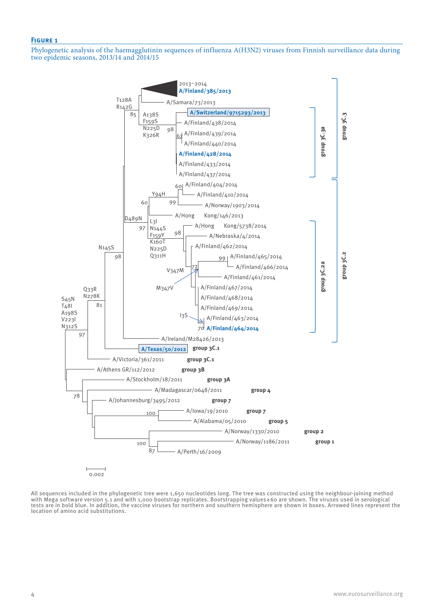#### **Figure 1**

Phylogenetic analysis of the haemagglutinin sequences of influenza A(H3N2) viruses from Finnish surveillance data during two epidemic seasons, 2013/14 and 2014/15



All sequences included in the phylogenetic tree were 1,650 nucleotides long. The tree was constructed using the neighbour-joining method with Mega software version 5.1 and with 1,000 bootstrap replicates. Bootstrapping values ≥60 are shown. The viruses used in serological tests are in bold blue. In addition, the vaccine viruses for northern and southern hemisphere are shown in boxes. Arrowed lines represent the location of amino acid substitutions.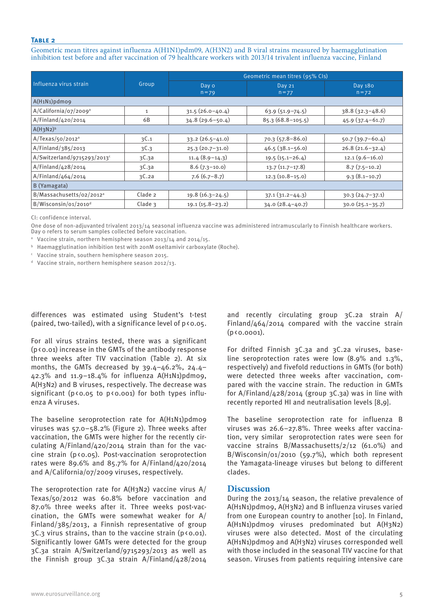#### **Table 2**

Geometric mean titres against influenza A(H1N1)pdm09, A(H3N2) and B viral strains measured by haemagglutination inhibition test before and after vaccination of 79 healthcare workers with 2013/14 trivalent influenza vaccine, Finland

|                                      |              | Geometric mean titres (95% Cls) |                      |                     |  |  |  |
|--------------------------------------|--------------|---------------------------------|----------------------|---------------------|--|--|--|
| Influenza virus strain               | Group        | Day o<br>$n = 79$               | Day 21<br>$n = 77$   | Day 180<br>$n = 72$ |  |  |  |
| A(H1N1)pdmo9                         |              |                                 |                      |                     |  |  |  |
| A/California/07/2009 <sup>ª</sup>    | $\mathbf{1}$ | $31.5(26.0-40.4)$               | $63.9(51.9 - 74.5)$  | $38.8(32.3 - 48.6)$ |  |  |  |
| A/Finland/420/2014                   | 6B           | $34.8(29.6 - 50.4)$             | $85.3(68.8 - 105.5)$ | $45.9(37.4-61.7)$   |  |  |  |
| $A(H_3N_2)^b$                        |              |                                 |                      |                     |  |  |  |
| A/Texas/50/2012 <sup>a</sup>         | 3C.1         | $33.2(26.5-41.0)$               | $70.3(57.8-86.0)$    | $50.7(39.7-60.4)$   |  |  |  |
| A/Finland/385/2013                   | 3C.3         | $25.3(20.7-31.0)$               | $46.5(38.1 - 56.0)$  | $26.8(21.6 - 32.4)$ |  |  |  |
| $A/Switzerland/g715293/2013c$        | 3C.3a        | $11.4(8.9-14.3)$                | $19.5(15.1 - 26.4)$  | $12.1(9.6 - 16.0)$  |  |  |  |
| A/Finland/428/2014                   | 3C.3a        | $8.6(7.3-10.0)$                 | $13.7(11.7-17.8)$    | $8.7(7.5-10.2)$     |  |  |  |
| A/Finland/464/2014                   | 3C.2a        | $7.6(6.7 - 8.7)$                | $12.3(10.8-15.0)$    | $9.3(8.1-10.7)$     |  |  |  |
| B (Yamagata)                         |              |                                 |                      |                     |  |  |  |
| B/Massachusetts/02/2012 <sup>a</sup> | Clade 2      | $19.8(16.3-24.5)$               | $37.1(31.2 - 44.3)$  | $30.3(24.7-37.1)$   |  |  |  |
| B/Wisconsin/01/2010 <sup>d</sup>     | Clade $3$    | $19.1(15.8-23.2)$               | $34.0(28.4-40.7)$    | $30.0(25.1-35.7)$   |  |  |  |

CI: confidence interval.

One dose of non-adjuvanted trivalent 2013/14 seasonal influenza vaccine was administered intramuscularly to Finnish healthcare workers. Day 0 refers to serum samples collected before vaccination.

<sup>a</sup> Vaccine strain, northern hemisphere season 2013/14 and 2014/15.

**b** Haemagglutination inhibition test with 20nM oseltamivir carboxylate (Roche).

<sup>c</sup> Vaccine strain, southern hemisphere season 2015.

 $d$  Vaccine strain, northern hemisphere season 2012/13.

differences was estimated using Student's t-test (paired, two-tailed), with a significance level of  $p \nless 0.05$ .

For all virus strains tested, there was a significant (p<0.01) increase in the GMTs of the antibody response three weeks after TIV vaccination (Table 2). At six months, the GMTs decreased by 39.4–46.2%, 24.4– 42.3% and 11.9–18.4% for influenza A(H1N1)pdm09, A(H3N2) and B viruses, respectively. The decrease was significant ( $p$ <0.05 to  $p$ <0.001) for both types influenza A viruses.

The baseline seroprotection rate for A(H1N1)pdm09 viruses was 57.0–58.2% (Figure 2). Three weeks after vaccination, the GMTs were higher for the recently circulating A/Finland/420/2014 strain than for the vaccine strain ( $p$ <0.05). Post-vaccination seroprotection rates were 89.6% and 85.7% for A/Finland/420/2014 and A/California/07/2009 viruses, respectively.

The seroprotection rate for A(H3N2) vaccine virus A/ Texas/50/2012 was 60.8% before vaccination and 87.0% three weeks after it. Three weeks post-vaccination, the GMTs were somewhat weaker for A/ Finland/385/2013, a Finnish representative of group  $3C.3$  virus strains, than to the vaccine strain ( $p \times q$ ,  $q$ ). Significantly lower GMTs were detected for the group 3C.3a strain A/Switzerland/9715293/2013 as well as the Finnish group 3C.3a strain A/Finland/428/2014 and recently circulating group 3C.2a strain A/ Finland/464/2014 compared with the vaccine strain  $(p \, 0.0001)$ .

For drifted Finnish 3C.3a and 3C.2a viruses, baseline seroprotection rates were low (8.9% and 1.3%, respectively) and fivefold reductions in GMTs (for both) were detected three weeks after vaccination, compared with the vaccine strain. The reduction in GMTs for A/Finland/428/2014 (group 3C.3a) was in line with recently reported HI and neutralisation levels [8,9].

The baseline seroprotection rate for influenza B viruses was 26.6–27.8%. Three weeks after vaccination, very similar seroprotection rates were seen for vaccine strains B/Massachusetts/2/12 (61.0%) and B/Wisconsin/01/2010 (59.7%), which both represent the Yamagata-lineage viruses but belong to different clades.

#### **Discussion**

During the 2013/14 season, the relative prevalence of A(H1N1)pdm09, A(H3N2) and B influenza viruses varied from one European country to another [10]. In Finland, A(H1N1)pdm09 viruses predominated but A(H3N2) viruses were also detected. Most of the circulating A(H1N1)pdm09 and A(H3N2) viruses corresponded well with those included in the seasonal TIV vaccine for that season. Viruses from patients requiring intensive care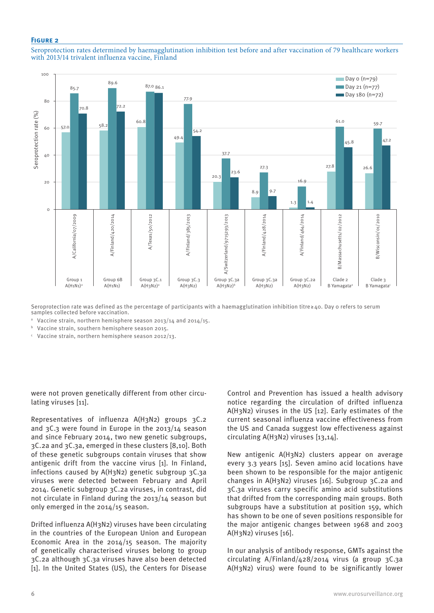#### **Figure 2**





Seroprotection rate was defined as the percentage of participants with a haemagglutination inhibition titre≥40. Day 0 refers to serum samples collected before vaccination.

<sup>a</sup> Vaccine strain, northern hemisphere season 2013/14 and 2014/15.

<sup>b</sup> Vaccine strain, southern hemisphere season 2015.

<sup>c</sup> Vaccine strain, northern hemisphere season 2012/13.

were not proven genetically different from other circulating viruses [11].

Representatives of influenza A(H3N2) groups 3C.2 and 3C.3 were found in Europe in the 2013/14 season and since February 2014, two new genetic subgroups, 3C.2a and 3C.3a, emerged in these clusters [8,10]. Both of these genetic subgroups contain viruses that show antigenic drift from the vaccine virus [1]. In Finland, infections caused by A(H3N2) genetic subgroup 3C.3a viruses were detected between February and April 2014. Genetic subgroup 3C.2a viruses, in contrast, did not circulate in Finland during the 2013/14 season but only emerged in the 2014/15 season.

Drifted influenza A(H3N2) viruses have been circulating in the countries of the European Union and European Economic Area in the 2014/15 season. The majority of genetically characterised viruses belong to group 3C.2a although 3C.3a viruses have also been detected [1]. In the United States (US), the Centers for Disease

Control and Prevention has issued a health advisory notice regarding the circulation of drifted influenza A(H3N2) viruses in the US [12]. Early estimates of the current seasonal influenza vaccine effectiveness from the US and Canada suggest low effectiveness against circulating A(H3N2) viruses [13,14].

New antigenic A(H3N2) clusters appear on average every 3.3 years [15]. Seven amino acid locations have been shown to be responsible for the major antigenic changes in A(H3N2) viruses [16]. Subgroup 3C.2a and 3C.3a viruses carry specific amino acid substitutions that drifted from the corresponding main groups. Both subgroups have a substitution at position 159, which has shown to be one of seven positions responsible for the major antigenic changes between 1968 and 2003 A(H3N2) viruses [16].

In our analysis of antibody response, GMTs against the circulating A/Finland/428/2014 virus (a group 3C.3a A(H3N2) virus) were found to be significantly lower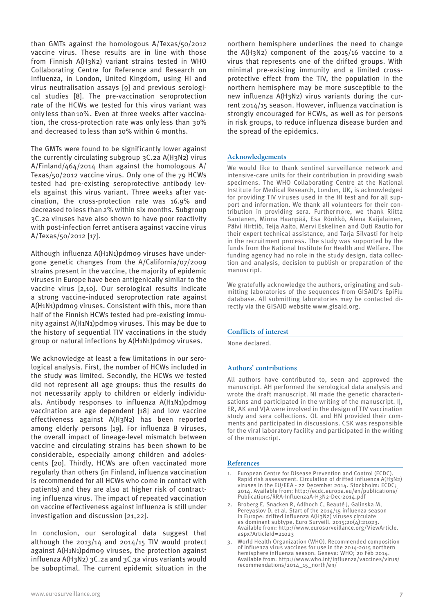than GMTs against the homologous A/Texas/50/2012 vaccine virus. These results are in line with those from Finnish A(H3N2) variant strains tested in WHO Collaborating Centre for Reference and Research on Influenza, in London, United Kingdom, using HI and virus neutralisation assays [9] and previous serological studies [8]. The pre-vaccination seroprotection rate of the HCWs we tested for this virus variant was only less than 10%. Even at three weeks after vaccination, the cross-protection rate was only less than 30% and decreased toless than 10% within 6 months.

The GMTs were found to be significantly lower against the currently circulating subgroup 3C.2a A(H3N2) virus A/Finland/464/2014 than against the homologous A/ Texas/50/2012 vaccine virus. Only one of the 79 HCWs tested had pre-existing seroprotective antibody levels against this virus variant. Three weeks after vaccination, the cross-protection rate was 16.9% and decreased toless than2% within six months. Subgroup 3C.2a viruses have also shown to have poor reactivity with post-infection ferret antisera against vaccine virus A/Texas/50/2012 [17].

Although influenza A(H1N1)pdm09 viruses have undergone genetic changes from the A/California/07/2009 strains present in the vaccine, the majority of epidemic viruses in Europe have been antigenically similar to the vaccine virus [2,10]. Our serological results indicate a strong vaccine-induced seroprotection rate against A(H1N1)pdm09 viruses. Consistent with this, more than half of the Finnish HCWs tested had pre-existing immunity against A(H1N1)pdm09 viruses. This may be due to the history of sequential TIV vaccinations in the study group or natural infections by A(H1N1)pdm09 viruses.

We acknowledge at least a few limitations in our serological analysis. First, the number of HCWs included in the study was limited. Secondly, the HCWs we tested did not represent all age groups: thus the results do not necessarily apply to children or elderly individuals. Antibody responses to influenza A(H1N1)pdm09 vaccination are age dependent [18] and low vaccine effectiveness against A(H3N2) has been reported among elderly persons [19]. For influenza B viruses, the overall impact of lineage-level mismatch between vaccine and circulating strains has been shown to be considerable, especially among children and adolescents [20]. Thirdly, HCWs are often vaccinated more regularly than others (in Finland, influenza vaccination is recommended for all HCWs who come in contact with patients) and they are also at higher risk of contracting influenza virus. The impact of repeated vaccination on vaccine effectiveness against influenza is still under investigation and discussion [21,22].

In conclusion, our serological data suggest that although the  $2013/14$  and  $2014/15$  TIV would protect against A(H1N1)pdm09 viruses, the protection against influenza A(H3N2) 3C.2a and 3C.3a virus variants would be suboptimal. The current epidemic situation in the

northern hemisphere underlines the need to change the A(H3N2) component of the 2015/16 vaccine to a virus that represents one of the drifted groups. With minimal pre-existing immunity and a limited crossprotective effect from the TIV, the population in the northern hemisphere may be more susceptible to the new influenza A(H3N2) virus variants during the current 2014/15 season. However, influenza vaccination is strongly encouraged for HCWs, as well as for persons in risk groups, to reduce influenza disease burden and the spread of the epidemics.

#### **Acknowledgements**

We would like to thank sentinel surveillance network and intensive-care units for their contribution in providing swab specimens. The WHO Collaborating Centre at the National Institute for Medical Research, London, UK, is acknowledged for providing TIV viruses used in the HI test and for all support and information. We thank all volunteers for their contribution in providing sera. Furthermore, we thank Riitta Santanen, Minna Haanpää, Esa Rönkkö, Alena Kaijalainen, Päivi Hirttiö, Teija Aalto, Mervi Eskelinen and Outi Rautio for their expert technical assistance, and Tarja Silvasti for help in the recruitment process. The study was supported by the funds from the National Institute for Health and Welfare. The funding agency had no role in the study design, data collection and analysis, decision to publish or preparation of the manuscript.

We gratefully acknowledge the authors, originating and submitting laboratories of the sequences from GISAID's EpiFlu database. All submitting laboratories may be contacted directly via the GISAID website www.gisaid.org.

#### **Conflicts of interest**

None declared.

#### **Authors' contributions**

All authors have contributed to, seen and approved the manuscript. AH performed the serological data analysis and wrote the draft manuscript. NI made the genetic characterisations and participated in the writing of the manuscript. IJ, ER, AK and VJA were involved in the design of TIV vaccination study and sera collections. OL and HN provided their comments and participated in discussions. CSK was responsible for the viral laboratory facility and participated in the writing of the manuscript.

#### **References**

- European Centre for Disease Prevention and Control (ECDC). Rapid risk assessment. Circulation of drifted influenza A(H3N2) viruses in the EU/EEA - 22 December 2014. Stockholm: ECDC; 2014. Available from: http://ecdc.europa.eu/en/publications/ Publications/RRA-InfluenzaA-H3N2-Dec-2014.pdf
- 2. Broberg E, Snacken R, Adlhoch C, Beauté J, Galinska M, Pereyaslov D, et al. Start of the 2014/15 influenza season in Europe: drifted influenza A(H3N2) viruses circulate as dominant subtype. Euro Surveill. 2015;20(4):21023. Available from: http://www.eurosurveillance.org/ViewArticle. aspx?ArticleId=21023
- 3. World Health Organization (WHO). Recommended composition of influenza virus vaccines for use in the 2014-2015 northern hemisphere influenza season. Geneva: WHO; 20 Feb 2014. Available from: http://www.who.int/influenza/vaccines/virus/ recommendations/2014\_15\_north/en/